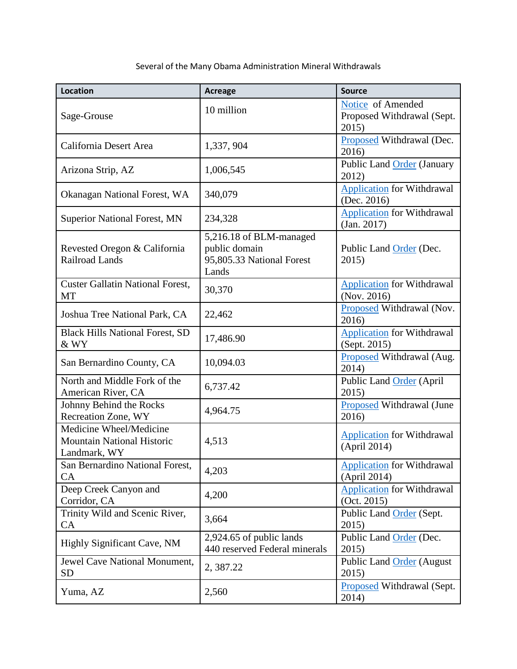## Several of the Many Obama Administration Mineral Withdrawals

| <b>Location</b>                                                              | <b>Acreage</b>                                                                 | <b>Source</b>                                            |
|------------------------------------------------------------------------------|--------------------------------------------------------------------------------|----------------------------------------------------------|
| Sage-Grouse                                                                  | 10 million                                                                     | Notice of Amended<br>Proposed Withdrawal (Sept.<br>2015) |
| California Desert Area                                                       | 1,337, 904                                                                     | Proposed Withdrawal (Dec.<br>2016)                       |
| Arizona Strip, AZ                                                            | 1,006,545                                                                      | Public Land Order (January<br>2012)                      |
| Okanagan National Forest, WA                                                 | 340,079                                                                        | <b>Application for Withdrawal</b><br>(Dec. 2016)         |
| <b>Superior National Forest, MN</b>                                          | 234,328                                                                        | <b>Application</b> for Withdrawal<br>(Jan. 2017)         |
| Revested Oregon & California<br>Railroad Lands                               | 5,216.18 of BLM-managed<br>public domain<br>95,805.33 National Forest<br>Lands | Public Land Order (Dec.<br>2015)                         |
| <b>Custer Gallatin National Forest,</b><br>MT                                | 30,370                                                                         | <b>Application for Withdrawal</b><br>(Nov. 2016)         |
| Joshua Tree National Park, CA                                                | 22,462                                                                         | Proposed Withdrawal (Nov.<br>2016)                       |
| <b>Black Hills National Forest, SD</b><br>& WY                               | 17,486.90                                                                      | <b>Application</b> for Withdrawal<br>(Sept. 2015)        |
| San Bernardino County, CA                                                    | 10,094.03                                                                      | Proposed Withdrawal (Aug.<br>2014)                       |
| North and Middle Fork of the<br>American River, CA                           | 6,737.42                                                                       | Public Land Order (April<br>2015)                        |
| Johnny Behind the Rocks<br>Recreation Zone, WY                               | 4,964.75                                                                       | Proposed Withdrawal (June<br>2016)                       |
| Medicine Wheel/Medicine<br><b>Mountain National Historic</b><br>Landmark, WY | 4,513                                                                          | <b>Application</b> for Withdrawal<br>(April 2014)        |
| San Bernardino National Forest,<br>CA                                        | 4,203                                                                          | <b>Application</b> for Withdrawal<br>(April 2014)        |
| Deep Creek Canyon and<br>Corridor, CA                                        | 4,200                                                                          | <b>Application</b> for Withdrawal<br>(Oct. 2015)         |
| Trinity Wild and Scenic River,<br>CA                                         | 3,664                                                                          | Public Land Order (Sept.<br>2015)                        |
| <b>Highly Significant Cave, NM</b>                                           | 2,924.65 of public lands<br>440 reserved Federal minerals                      | Public Land Order (Dec.<br>2015)                         |
| Jewel Cave National Monument,<br><b>SD</b>                                   | 2, 387.22                                                                      | Public Land Order (August<br>2015)                       |
| Yuma, AZ                                                                     | 2,560                                                                          | Proposed Withdrawal (Sept.<br>2014)                      |